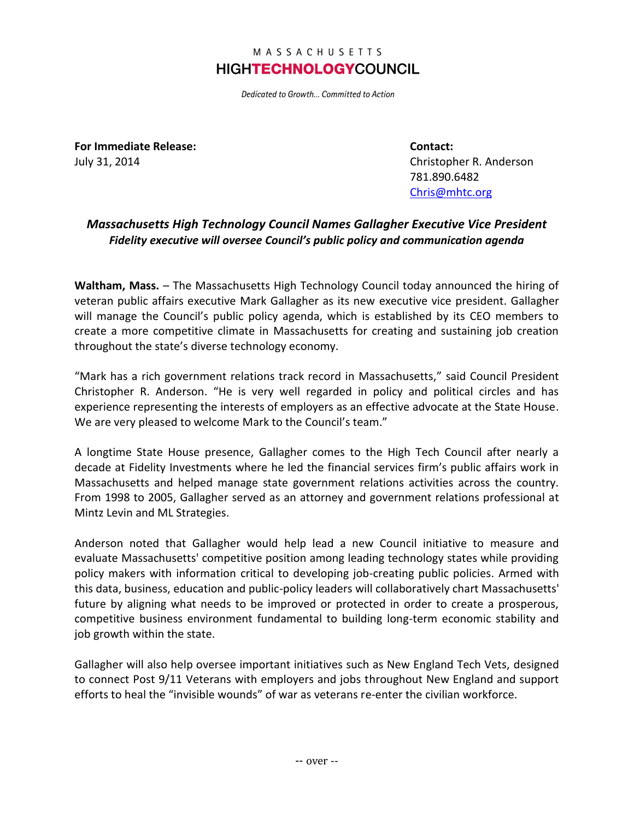## MASSACHUSETTS **HIGHTECHNOLOGYCOUNCIL**

Dedicated to Growth... Committed to Action

**For Immediate Release: Contact:**

July 31, 2014 Christopher R. Anderson 781.890.6482 [Chris@mhtc.org](mailto:Chris@mhtc.org)

## *Massachusetts High Technology Council Names Gallagher Executive Vice President Fidelity executive will oversee Council's public policy and communication agenda*

**Waltham, Mass.** – The Massachusetts High Technology Council today announced the hiring of veteran public affairs executive Mark Gallagher as its new executive vice president. Gallagher will manage the Council's public policy agenda, which is established by its CEO members to create a more competitive climate in Massachusetts for creating and sustaining job creation throughout the state's diverse technology economy.

"Mark has a rich government relations track record in Massachusetts," said Council President Christopher R. Anderson. "He is very well regarded in policy and political circles and has experience representing the interests of employers as an effective advocate at the State House. We are very pleased to welcome Mark to the Council's team."

A longtime State House presence, Gallagher comes to the High Tech Council after nearly a decade at Fidelity Investments where he led the financial services firm's public affairs work in Massachusetts and helped manage state government relations activities across the country. From 1998 to 2005, Gallagher served as an attorney and government relations professional at Mintz Levin and ML Strategies.

Anderson noted that Gallagher would help lead a new Council initiative to measure and evaluate Massachusetts' competitive position among leading technology states while providing policy makers with information critical to developing job-creating public policies. Armed with this data, business, education and public-policy leaders will collaboratively chart Massachusetts' future by aligning what needs to be improved or protected in order to create a prosperous, competitive business environment fundamental to building long-term economic stability and job growth within the state.

Gallagher will also help oversee important initiatives such as New England Tech Vets, designed to connect Post 9/11 Veterans with employers and jobs throughout New England and support efforts to heal the "invisible wounds" of war as veterans re-enter the civilian workforce.